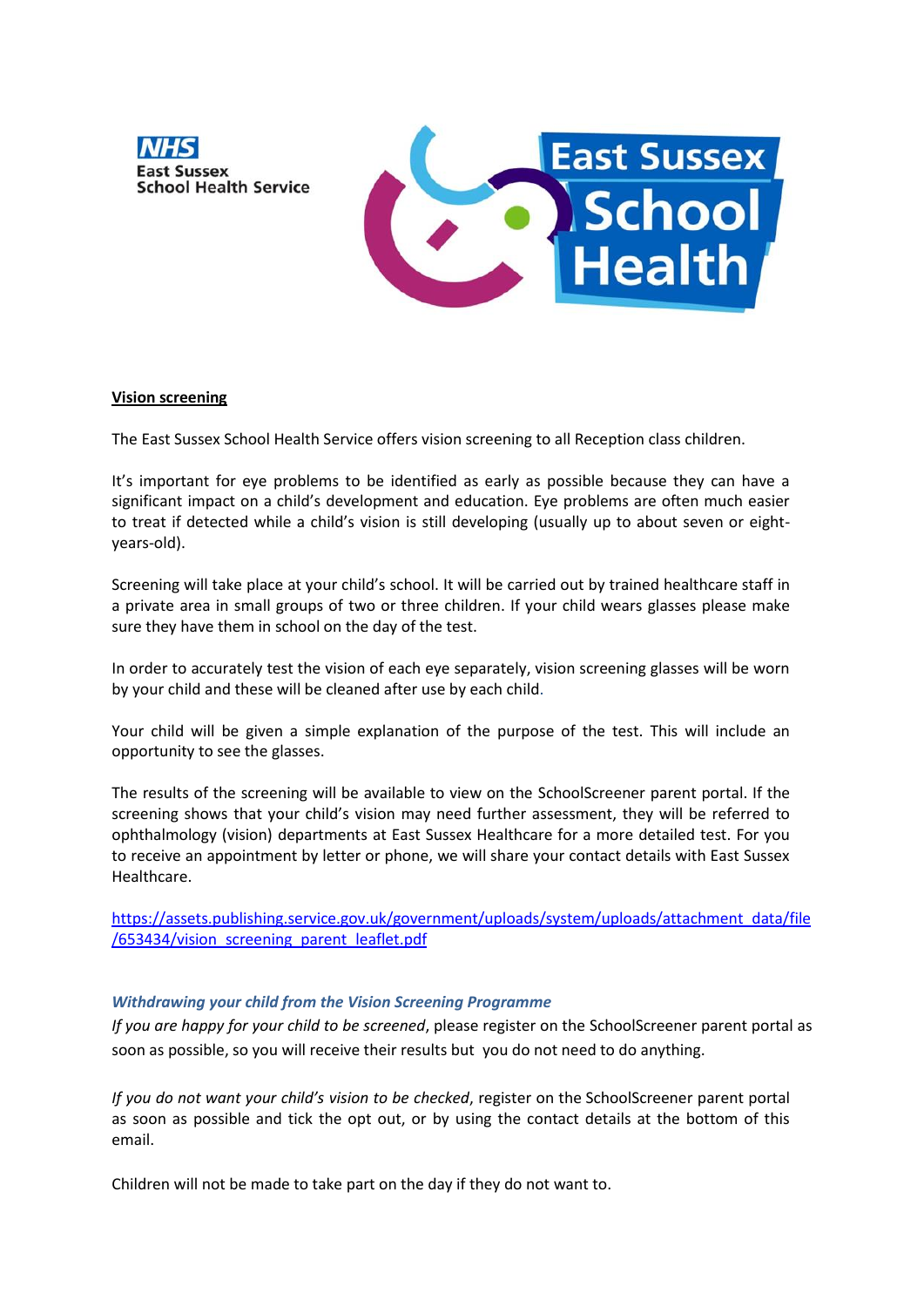



## **Vision screening**

The East Sussex School Health Service offers vision screening to all Reception class children.

It's important for eye problems to be identified as early as possible because they can have a significant impact on a child's development and education. Eye problems are often much easier to treat if detected while a child's vision is still developing (usually up to about seven or eightyears-old).

Screening will take place at your child's school. It will be carried out by trained healthcare staff in a private area in small groups of two or three children. If your child wears glasses please make sure they have them in school on the day of the test.

In order to accurately test the vision of each eye separately, vision screening glasses will be worn by your child and these will be cleaned after use by each child.

Your child will be given a simple explanation of the purpose of the test. This will include an opportunity to see the glasses.

The results of the screening will be available to view on the SchoolScreener parent portal. If the screening shows that your child's vision may need further assessment, they will be referred to ophthalmology (vision) departments at East Sussex Healthcare for a more detailed test. For you to receive an appointment by letter or phone, we will share your contact details with East Sussex Healthcare.

[https://assets.publishing.service.gov.uk/government/uploads/system/uploads/attachment\\_data/file](https://assets.publishing.service.gov.uk/government/uploads/system/uploads/attachment_data/file/653434/vision_screening_parent_leaflet.pdf) [/653434/vision\\_screening\\_parent\\_leaflet.pdf](https://assets.publishing.service.gov.uk/government/uploads/system/uploads/attachment_data/file/653434/vision_screening_parent_leaflet.pdf)

## *Withdrawing your child from the Vision Screening Programme*

*If you are happy for your child to be screened*, please register on the SchoolScreener parent portal as soon as possible, so you will receive their results but you do not need to do anything.

*If you do not want your child's vision to be checked*, register on the SchoolScreener parent portal as soon as possible and tick the opt out, or by using the contact details at the bottom of this email.

Children will not be made to take part on the day if they do not want to.